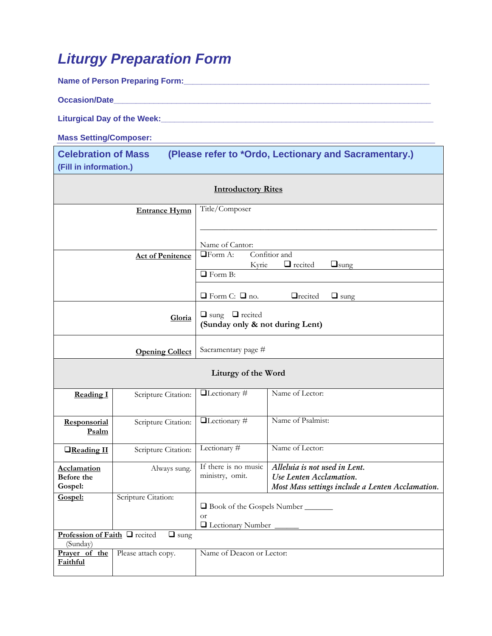## *Liturgy Preparation Form*

Name of Person Preparing Form: **William Strategies Preparity** 

**Occasion/Date\_\_\_\_\_\_\_\_\_\_\_\_\_\_\_\_\_\_\_\_\_\_\_\_\_\_\_\_\_\_\_\_\_\_\_\_\_\_\_\_\_\_\_\_\_\_\_\_\_\_\_\_\_\_\_\_\_\_\_\_\_\_\_\_\_\_\_\_\_\_\_** 

**Liturgical Day of the Week:\_\_\_\_\_\_\_\_\_\_\_\_\_\_\_\_\_\_\_\_\_\_\_\_\_\_\_\_\_\_\_\_\_\_\_\_\_\_\_\_\_\_\_\_\_\_\_\_\_\_\_\_\_\_\_\_\_\_\_\_\_** 

**Mass Setting/Composer:**

**Celebration of Mass (Please refer to \*Ordo, Lectionary and Sacramentary.) (Fill in information.)** 

| <b>Introductory Rites</b>                                |                         |                                                                                                                               |                                                                                                              |  |  |  |  |
|----------------------------------------------------------|-------------------------|-------------------------------------------------------------------------------------------------------------------------------|--------------------------------------------------------------------------------------------------------------|--|--|--|--|
|                                                          | <b>Entrance Hymn</b>    | Title/Composer                                                                                                                |                                                                                                              |  |  |  |  |
|                                                          | <b>Act of Penitence</b> | Name of Cantor:<br><b>□Form A:</b><br>Confitior and<br>$\Box$ recited<br>$\Box$ sung<br>Kyrie<br>$\Box$ Form B:               |                                                                                                              |  |  |  |  |
|                                                          | Gloria                  | $\Box$ Form C: $\Box$ no.<br><b>Q</b> recited<br>$\Box$ sung<br>$\Box$ sung $\Box$ recited<br>(Sunday only & not during Lent) |                                                                                                              |  |  |  |  |
|                                                          | <b>Opening Collect</b>  | Sacramentary page #                                                                                                           |                                                                                                              |  |  |  |  |
| Liturgy of the Word                                      |                         |                                                                                                                               |                                                                                                              |  |  |  |  |
| <b>Reading I</b>                                         | Scripture Citation:     | $\Box$ Lectionary#                                                                                                            | Name of Lector:                                                                                              |  |  |  |  |
| Responsorial<br>Psalm                                    | Scripture Citation:     | □Lectionary#                                                                                                                  | Name of Psalmist:                                                                                            |  |  |  |  |
| <b>O</b> Reading II                                      | Scripture Citation:     | Lectionary #                                                                                                                  | Name of Lector:                                                                                              |  |  |  |  |
| Acclamation<br>Before the<br>Gospel:                     | Always sung.            | If there is no music<br>ministry, omit.                                                                                       | Alleluia is not used in Lent.<br>Use Lenten Acclamation.<br>Most Mass settings include a Lenten Acclamation. |  |  |  |  |
| Gospel:                                                  | Scripture Citation:     | □ Book of the Gospels Number _______<br><b>or</b><br><b>Q</b> Lectionary Number                                               |                                                                                                              |  |  |  |  |
| Profession of Faith I recited<br>$\Box$ sung<br>(Sunday) |                         |                                                                                                                               |                                                                                                              |  |  |  |  |
| Prayer of the<br>Faithful                                | Please attach copy.     | Name of Deacon or Lector:                                                                                                     |                                                                                                              |  |  |  |  |